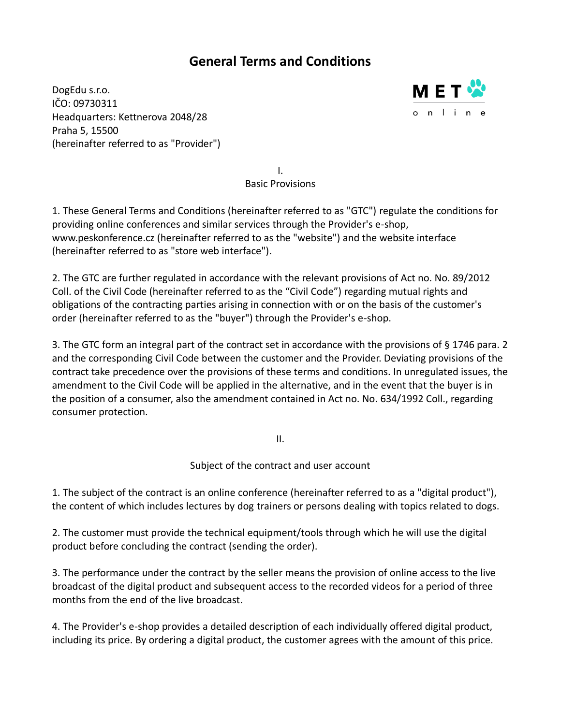# **General Terms and Conditions**

DogEdu s.r.o. IČO: 09730311 Headquarters: Kettnerova 2048/28 Praha 5, 15500 (hereinafter referred to as "Provider")



I. Basic Provisions

1. These General Terms and Conditions (hereinafter referred to as "GTC") regulate the conditions for providing online conferences and similar services through the Provider's e-shop, www.peskonference.cz (hereinafter referred to as the "website") and the website interface (hereinafter referred to as "store web interface").

2. The GTC are further regulated in accordance with the relevant provisions of Act no. No. 89/2012 Coll. of the Civil Code (hereinafter referred to as the "Civil Code") regarding mutual rights and obligations of the contracting parties arising in connection with or on the basis of the customer's order (hereinafter referred to as the "buyer") through the Provider's e-shop.

3. The GTC form an integral part of the contract set in accordance with the provisions of § 1746 para. 2 and the corresponding Civil Code between the customer and the Provider. Deviating provisions of the contract take precedence over the provisions of these terms and conditions. In unregulated issues, the amendment to the Civil Code will be applied in the alternative, and in the event that the buyer is in the position of a consumer, also the amendment contained in Act no. No. 634/1992 Coll., regarding consumer protection.

II.

Subject of the contract and user account

1. The subject of the contract is an online conference (hereinafter referred to as a "digital product"), the content of which includes lectures by dog trainers or persons dealing with topics related to dogs.

2. The customer must provide the technical equipment/tools through which he will use the digital product before concluding the contract (sending the order).

3. The performance under the contract by the seller means the provision of online access to the live broadcast of the digital product and subsequent access to the recorded videos for a period of three months from the end of the live broadcast.

4. The Provider's e-shop provides a detailed description of each individually offered digital product, including its price. By ordering a digital product, the customer agrees with the amount of this price.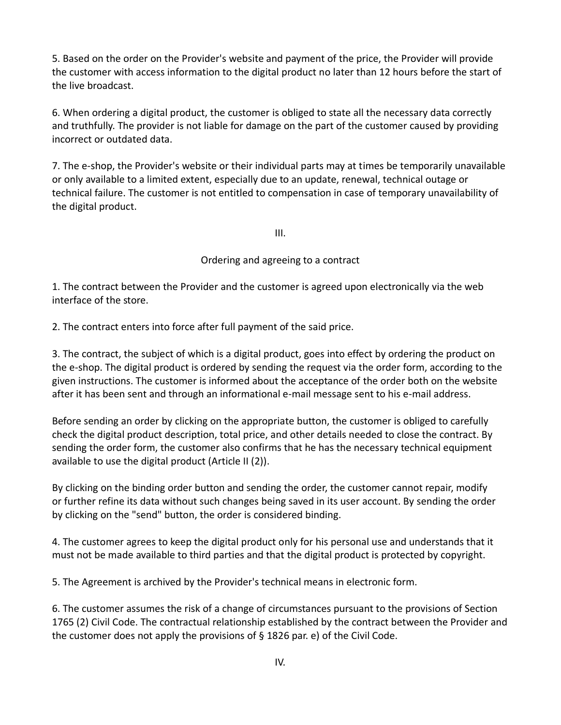5. Based on the order on the Provider's website and payment of the price, the Provider will provide the customer with access information to the digital product no later than 12 hours before the start of the live broadcast.

6. When ordering a digital product, the customer is obliged to state all the necessary data correctly and truthfully. The provider is not liable for damage on the part of the customer caused by providing incorrect or outdated data.

7. The e-shop, the Provider's website or their individual parts may at times be temporarily unavailable or only available to a limited extent, especially due to an update, renewal, technical outage or technical failure. The customer is not entitled to compensation in case of temporary unavailability of the digital product.

III.

### Ordering and agreeing to a contract

1. The contract between the Provider and the customer is agreed upon electronically via the web interface of the store.

2. The contract enters into force after full payment of the said price.

3. The contract, the subject of which is a digital product, goes into effect by ordering the product on the e-shop. The digital product is ordered by sending the request via the order form, according to the given instructions. The customer is informed about the acceptance of the order both on the website after it has been sent and through an informational e-mail message sent to his e-mail address.

Before sending an order by clicking on the appropriate button, the customer is obliged to carefully check the digital product description, total price, and other details needed to close the contract. By sending the order form, the customer also confirms that he has the necessary technical equipment available to use the digital product (Article II (2)).

By clicking on the binding order button and sending the order, the customer cannot repair, modify or further refine its data without such changes being saved in its user account. By sending the order by clicking on the "send" button, the order is considered binding.

4. The customer agrees to keep the digital product only for his personal use and understands that it must not be made available to third parties and that the digital product is protected by copyright.

5. The Agreement is archived by the Provider's technical means in electronic form.

6. The customer assumes the risk of a change of circumstances pursuant to the provisions of Section 1765 (2) Civil Code. The contractual relationship established by the contract between the Provider and the customer does not apply the provisions of § 1826 par. e) of the Civil Code.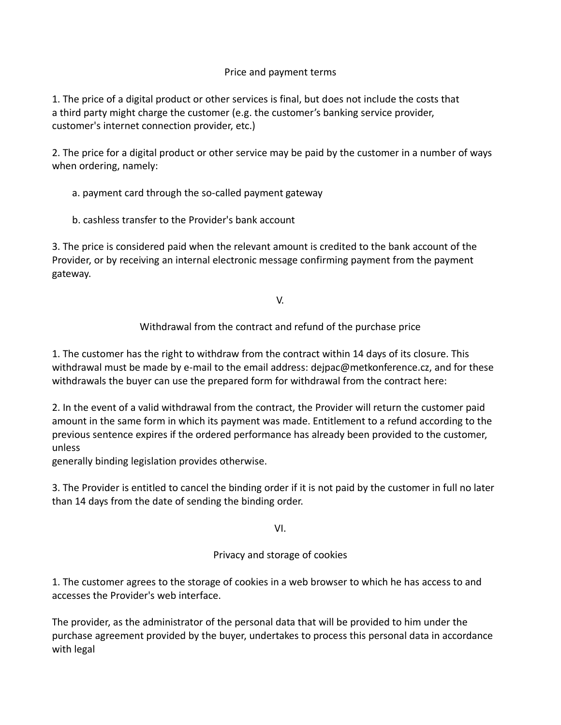# Price and payment terms

1. The price of a digital product or other services is final, but does not include the costs that a third party might charge the customer (e.g. the customer's banking service provider, customer's internet connection provider, etc.)

2. The price for a digital product or other service may be paid by the customer in a number of ways when ordering, namely:

a. payment card through the so-called payment gateway

b. cashless transfer to the Provider's bank account

3. The price is considered paid when the relevant amount is credited to the bank account of the Provider, or by receiving an internal electronic message confirming payment from the payment gateway.

V.

Withdrawal from the contract and refund of the purchase price

1. The customer has the right to withdraw from the contract within 14 days of its closure. This withdrawal must be made by e-mail to the email address: dejpac@metkonference.cz, and for these withdrawals the buyer can use the prepared form for withdrawal from the contract here:

2. In the event of a valid withdrawal from the contract, the Provider will return the customer paid amount in the same form in which its payment was made. Entitlement to a refund according to the previous sentence expires if the ordered performance has already been provided to the customer, unless

generally binding legislation provides otherwise.

3. The Provider is entitled to cancel the binding order if it is not paid by the customer in full no later than 14 days from the date of sending the binding order.

VI.

Privacy and storage of cookies

1. The customer agrees to the storage of cookies in a web browser to which he has access to and accesses the Provider's web interface.

The provider, as the administrator of the personal data that will be provided to him under the purchase agreement provided by the buyer, undertakes to process this personal data in accordance with legal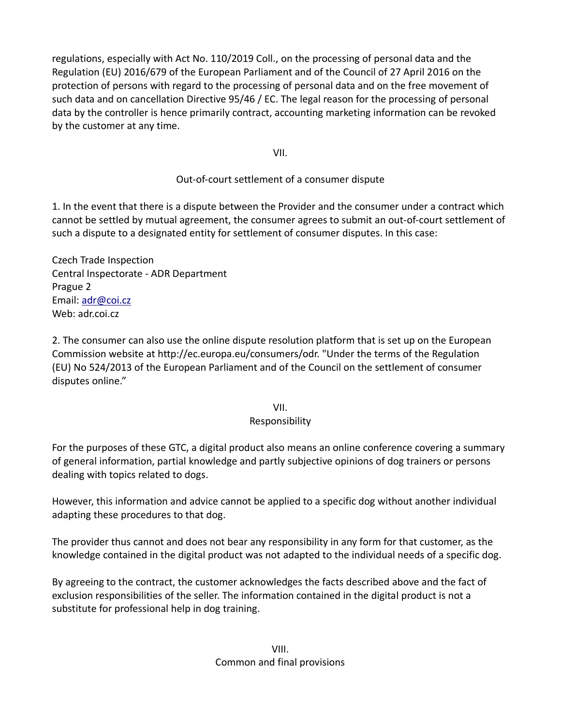regulations, especially with Act No. 110/2019 Coll., on the processing of personal data and the Regulation (EU) 2016/679 of the European Parliament and of the Council of 27 April 2016 on the protection of persons with regard to the processing of personal data and on the free movement of such data and on cancellation Directive 95/46 / EC. The legal reason for the processing of personal data by the controller is hence primarily contract, accounting marketing information can be revoked by the customer at any time.

VII.

### Out-of-court settlement of a consumer dispute

1. In the event that there is a dispute between the Provider and the consumer under a contract which cannot be settled by mutual agreement, the consumer agrees to submit an out-of-court settlement of such a dispute to a designated entity for settlement of consumer disputes. In this case:

Czech Trade Inspection Central Inspectorate - ADR Department Prague 2 Email: [adr@coi.cz](mailto:adr@coi.cz) Web: adr.coi.cz

2. The consumer can also use the online dispute resolution platform that is set up on the European Commission website at http://ec.europa.eu/consumers/odr. "Under the terms of the Regulation (EU) No 524/2013 of the European Parliament and of the Council on the settlement of consumer disputes online."

VII.

# Responsibility

For the purposes of these GTC, a digital product also means an online conference covering a summary of general information, partial knowledge and partly subjective opinions of dog trainers or persons dealing with topics related to dogs.

However, this information and advice cannot be applied to a specific dog without another individual adapting these procedures to that dog.

The provider thus cannot and does not bear any responsibility in any form for that customer, as the knowledge contained in the digital product was not adapted to the individual needs of a specific dog.

By agreeing to the contract, the customer acknowledges the facts described above and the fact of exclusion responsibilities of the seller. The information contained in the digital product is not a substitute for professional help in dog training.